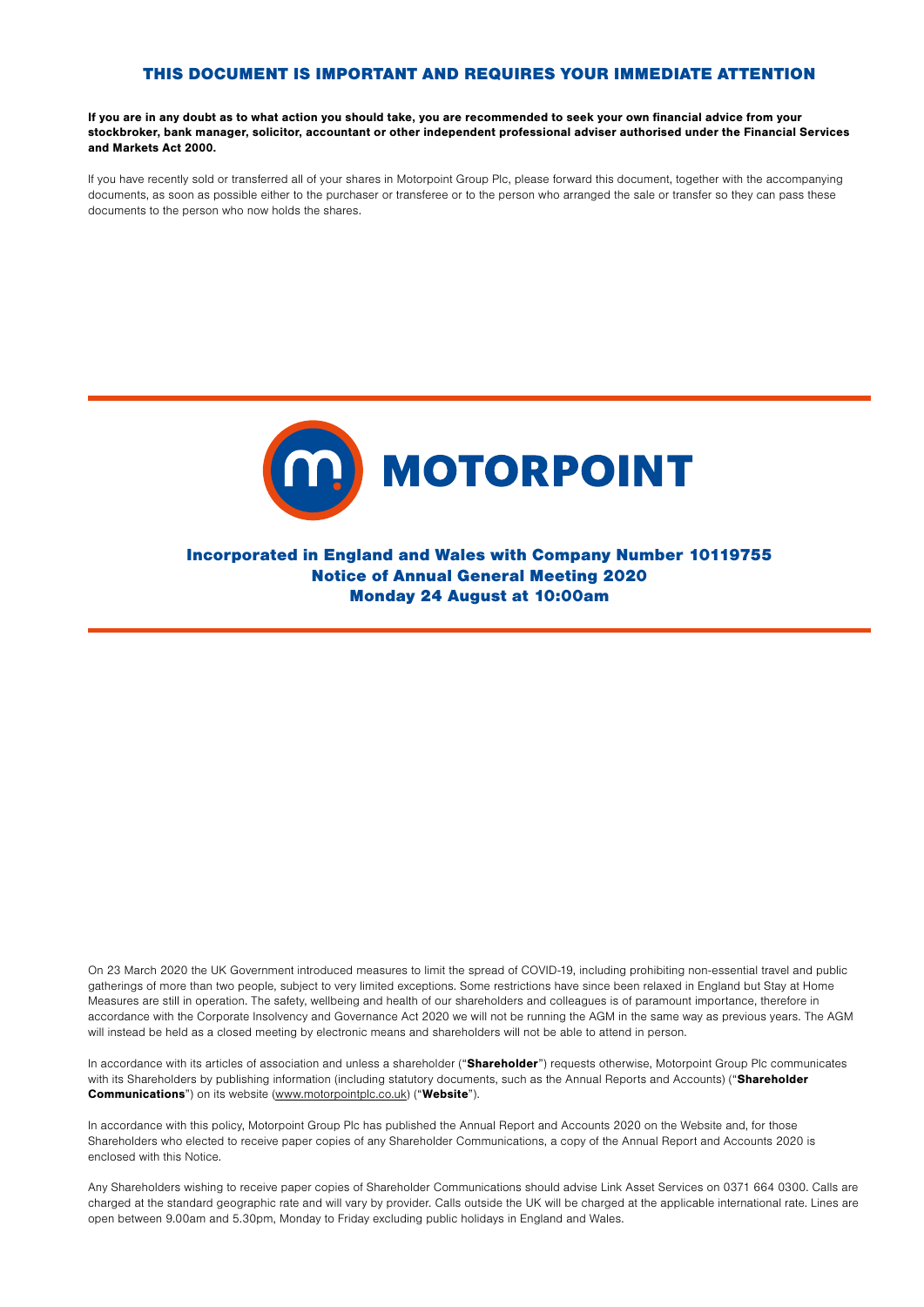## THIS DOCUMENT IS IMPORTANT AND REQUIRES YOUR IMMEDIATE ATTENTION

If you are in any doubt as to what action you should take, you are recommended to seek your own financial advice from your stockbroker, bank manager, solicitor, accountant or other independent professional adviser authorised under the Financial Services and Markets Act 2000.

If you have recently sold or transferred all of your shares in Motorpoint Group Plc, please forward this document, together with the accompanying documents, as soon as possible either to the purchaser or transferee or to the person who arranged the sale or transfer so they can pass these documents to the person who now holds the shares.



Incorporated in England and Wales with Company Number 10119755 Notice of Annual General Meeting 2020 Monday 24 August at 10:00am

On 23 March 2020 the UK Government introduced measures to limit the spread of COVID-19, including prohibiting non-essential travel and public gatherings of more than two people, subject to very limited exceptions. Some restrictions have since been relaxed in England but Stay at Home Measures are still in operation. The safety, wellbeing and health of our shareholders and colleagues is of paramount importance, therefore in accordance with the Corporate Insolvency and Governance Act 2020 we will not be running the AGM in the same way as previous years. The AGM will instead be held as a closed meeting by electronic means and shareholders will not be able to attend in person.

In accordance with its articles of association and unless a shareholder ("Shareholder") requests otherwise. Motorpoint Group Plc communicates with its Shareholders by publishing information (including statutory documents, such as the Annual Reports and Accounts) ("Shareholder Communications") on its website (www.motorpointplc.co.uk) ("Website").

In accordance with this policy, Motorpoint Group Plc has published the Annual Report and Accounts 2020 on the Website and, for those Shareholders who elected to receive paper copies of any Shareholder Communications, a copy of the Annual Report and Accounts 2020 is enclosed with this Notice.

Any Shareholders wishing to receive paper copies of Shareholder Communications should advise Link Asset Services on 0371 664 0300. Calls are charged at the standard geographic rate and will vary by provider. Calls outside the UK will be charged at the applicable international rate. Lines are open between 9.00am and 5.30pm, Monday to Friday excluding public holidays in England and Wales.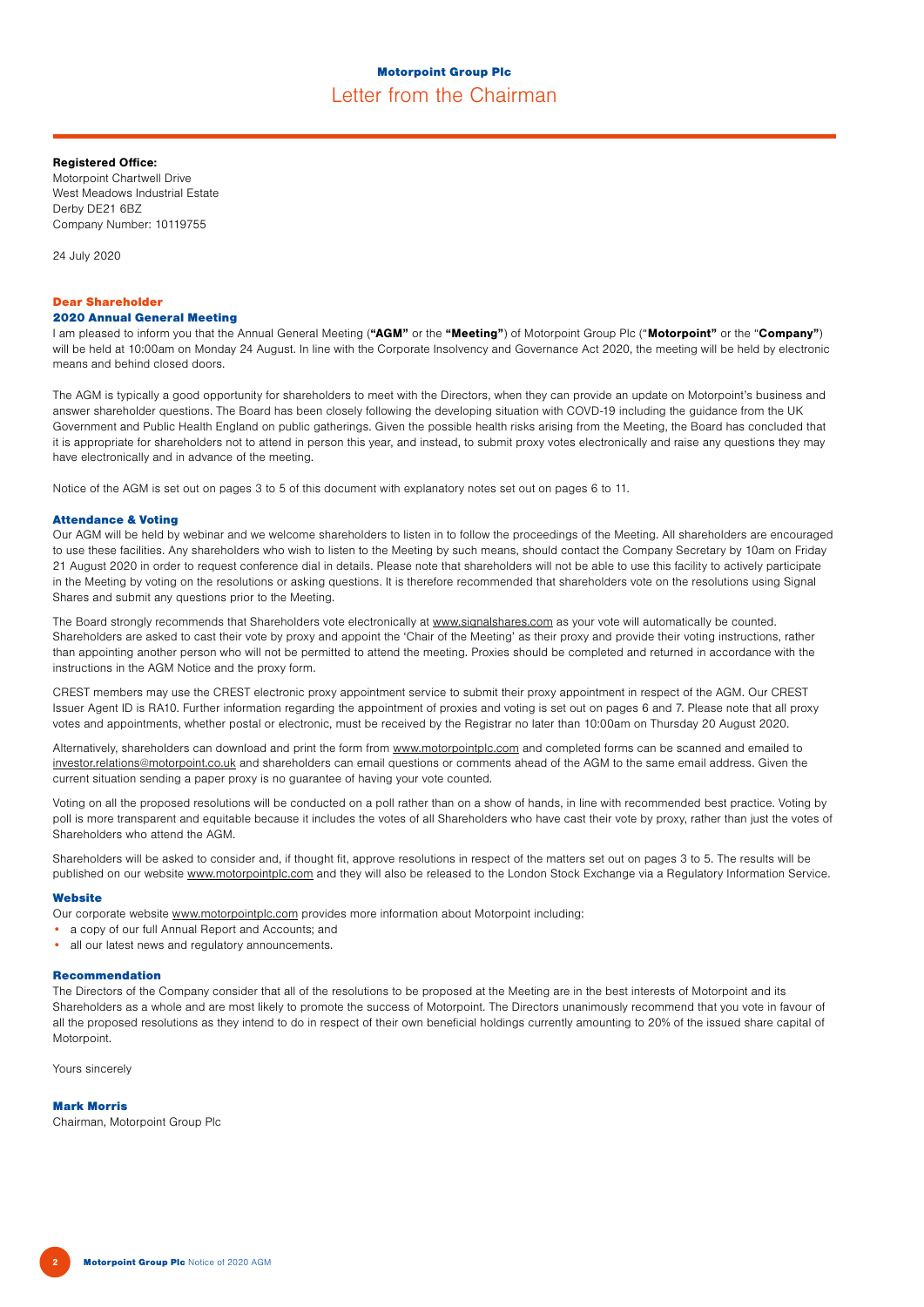## Registered Office:

Motorpoint Chartwell Drive West Meadows Industrial Estate Derby DE21 6BZ Company Number: 10119755

24 July 2020

# Dear Shareholder

2020 Annual General Meeting

I am pleased to inform you that the Annual General Meeting ("AGM" or the "Meeting") of Motorpoint Group Plc ("Motorpoint" or the "Company") will be held at 10:00am on Monday 24 August. In line with the Corporate Insolvency and Governance Act 2020, the meeting will be held by electronic means and behind closed doors.

The AGM is typically a good opportunity for shareholders to meet with the Directors, when they can provide an update on Motorpoint's business and answer shareholder questions. The Board has been closely following the developing situation with COVD-19 including the guidance from the UK Government and Public Health England on public gatherings. Given the possible health risks arising from the Meeting, the Board has concluded that it is appropriate for shareholders not to attend in person this year, and instead, to submit proxy votes electronically and raise any questions they may have electronically and in advance of the meeting.

Notice of the AGM is set out on pages 3 to 5 of this document with explanatory notes set out on pages 6 to 11.

## Attendance & Voting

Our AGM will be held by webinar and we welcome shareholders to listen in to follow the proceedings of the Meeting. All shareholders are encouraged to use these facilities. Any shareholders who wish to listen to the Meeting by such means, should contact the Company Secretary by 10am on Friday 21 August 2020 in order to request conference dial in details. Please note that shareholders will not be able to use this facility to actively participate in the Meeting by voting on the resolutions or asking questions. It is therefore recommended that shareholders vote on the resolutions using Signal Shares and submit any questions prior to the Meeting.

The Board strongly recommends that Shareholders vote electronically at www.signalshares.com as your vote will automatically be counted. Shareholders are asked to cast their vote by proxy and appoint the 'Chair of the Meeting' as their proxy and provide their voting instructions, rather than appointing another person who will not be permitted to attend the meeting. Proxies should be completed and returned in accordance with the instructions in the AGM Notice and the proxy form.

CREST members may use the CREST electronic proxy appointment service to submit their proxy appointment in respect of the AGM. Our CREST Issuer Agent ID is RA10. Further information regarding the appointment of proxies and voting is set out on pages 6 and 7. Please note that all proxy votes and appointments, whether postal or electronic, must be received by the Registrar no later than 10:00am on Thursday 20 August 2020.

Alternatively, shareholders can download and print the form from www.motorpointplc.com and completed forms can be scanned and emailed to investor.relations@motorpoint.co.uk and shareholders can email questions or comments ahead of the AGM to the same email address. Given the current situation sending a paper proxy is no guarantee of having your vote counted.

Voting on all the proposed resolutions will be conducted on a poll rather than on a show of hands, in line with recommended best practice. Voting by poll is more transparent and equitable because it includes the votes of all Shareholders who have cast their vote by proxy, rather than just the votes of Shareholders who attend the AGM.

Shareholders will be asked to consider and, if thought fit, approve resolutions in respect of the matters set out on pages 3 to 5. The results will be published on our website www.motorpointplc.com and they will also be released to the London Stock Exchange via a Regulatory Information Service.

#### **Website**

Our corporate website www.motorpointplc.com provides more information about Motorpoint including:

- a copy of our full Annual Report and Accounts; and
- all our latest news and regulatory announcements.

## Recommendation

The Directors of the Company consider that all of the resolutions to be proposed at the Meeting are in the best interests of Motorpoint and its Shareholders as a whole and are most likely to promote the success of Motorpoint. The Directors unanimously recommend that you vote in favour of all the proposed resolutions as they intend to do in respect of their own beneficial holdings currently amounting to 20% of the issued share capital of Motorpoint.

Yours sincerely

#### Mark Morris

Chairman, Motorpoint Group Plc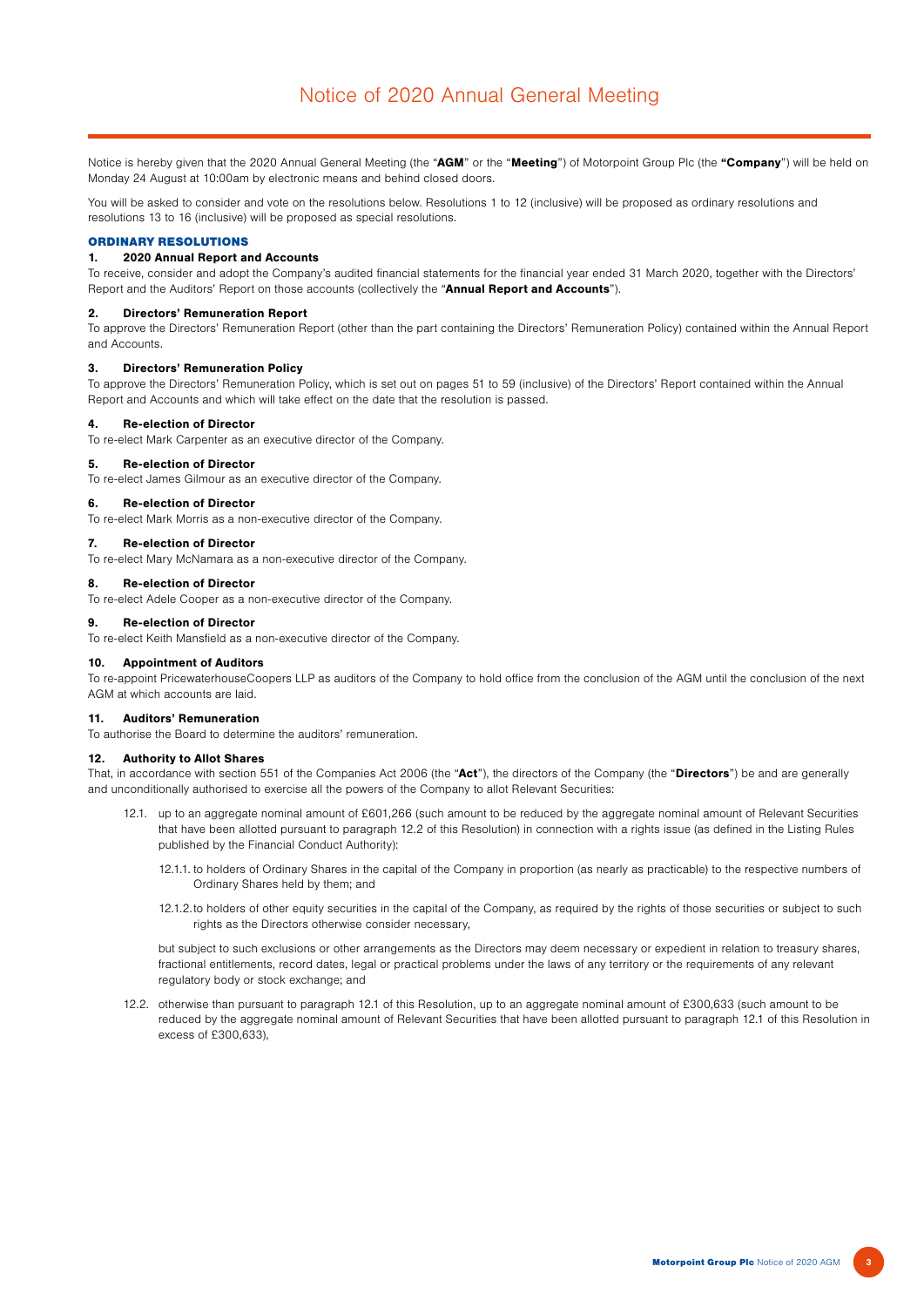Notice is hereby given that the 2020 Annual General Meeting (the "AGM" or the "Meeting") of Motorpoint Group Plc (the "Company") will be held on Monday 24 August at 10:00am by electronic means and behind closed doors.

You will be asked to consider and vote on the resolutions below. Resolutions 1 to 12 (inclusive) will be proposed as ordinary resolutions and resolutions 13 to 16 (inclusive) will be proposed as special resolutions.

## ORDINARY RESOLUTIONS

## 1. 2020 Annual Report and Accounts

To receive, consider and adopt the Company's audited financial statements for the financial year ended 31 March 2020, together with the Directors' Report and the Auditors' Report on those accounts (collectively the "Annual Report and Accounts").

## 2. Directors' Remuneration Report

To approve the Directors' Remuneration Report (other than the part containing the Directors' Remuneration Policy) contained within the Annual Report and Accounts.

#### 3. Directors' Remuneration Policy

To approve the Directors' Remuneration Policy, which is set out on pages 51 to 59 (inclusive) of the Directors' Report contained within the Annual Report and Accounts and which will take effect on the date that the resolution is passed.

#### 4. Re-election of Director

To re-elect Mark Carpenter as an executive director of the Company.

#### 5. Re-election of Director

To re-elect James Gilmour as an executive director of the Company.

#### 6. Re-election of Director

To re-elect Mark Morris as a non-executive director of the Company.

#### 7. Re-election of Director

To re-elect Mary McNamara as a non-executive director of the Company.

## 8. Re-election of Director

To re-elect Adele Cooper as a non-executive director of the Company.

### 9. Re-election of Director

To re-elect Keith Mansfield as a non-executive director of the Company.

## 10. Appointment of Auditors

To re-appoint PricewaterhouseCoopers LLP as auditors of the Company to hold office from the conclusion of the AGM until the conclusion of the next AGM at which accounts are laid.

### 11. Auditors' Remuneration

To authorise the Board to determine the auditors' remuneration.

#### 12. Authority to Allot Shares

That, in accordance with section 551 of the Companies Act 2006 (the "Act"), the directors of the Company (the "Directors") be and are generally and unconditionally authorised to exercise all the powers of the Company to allot Relevant Securities:

- 12.1. up to an aggregate nominal amount of £601,266 (such amount to be reduced by the aggregate nominal amount of Relevant Securities that have been allotted pursuant to paragraph 12.2 of this Resolution) in connection with a rights issue (as defined in the Listing Rules published by the Financial Conduct Authority):
	- 12.1.1. to holders of Ordinary Shares in the capital of the Company in proportion (as nearly as practicable) to the respective numbers of Ordinary Shares held by them; and
	- 12.1.2.to holders of other equity securities in the capital of the Company, as required by the rights of those securities or subject to such rights as the Directors otherwise consider necessary,

but subject to such exclusions or other arrangements as the Directors may deem necessary or expedient in relation to treasury shares, fractional entitlements, record dates, legal or practical problems under the laws of any territory or the requirements of any relevant regulatory body or stock exchange; and

12.2. otherwise than pursuant to paragraph 12.1 of this Resolution, up to an aggregate nominal amount of £300,633 (such amount to be reduced by the aggregate nominal amount of Relevant Securities that have been allotted pursuant to paragraph 12.1 of this Resolution in excess of £300,633),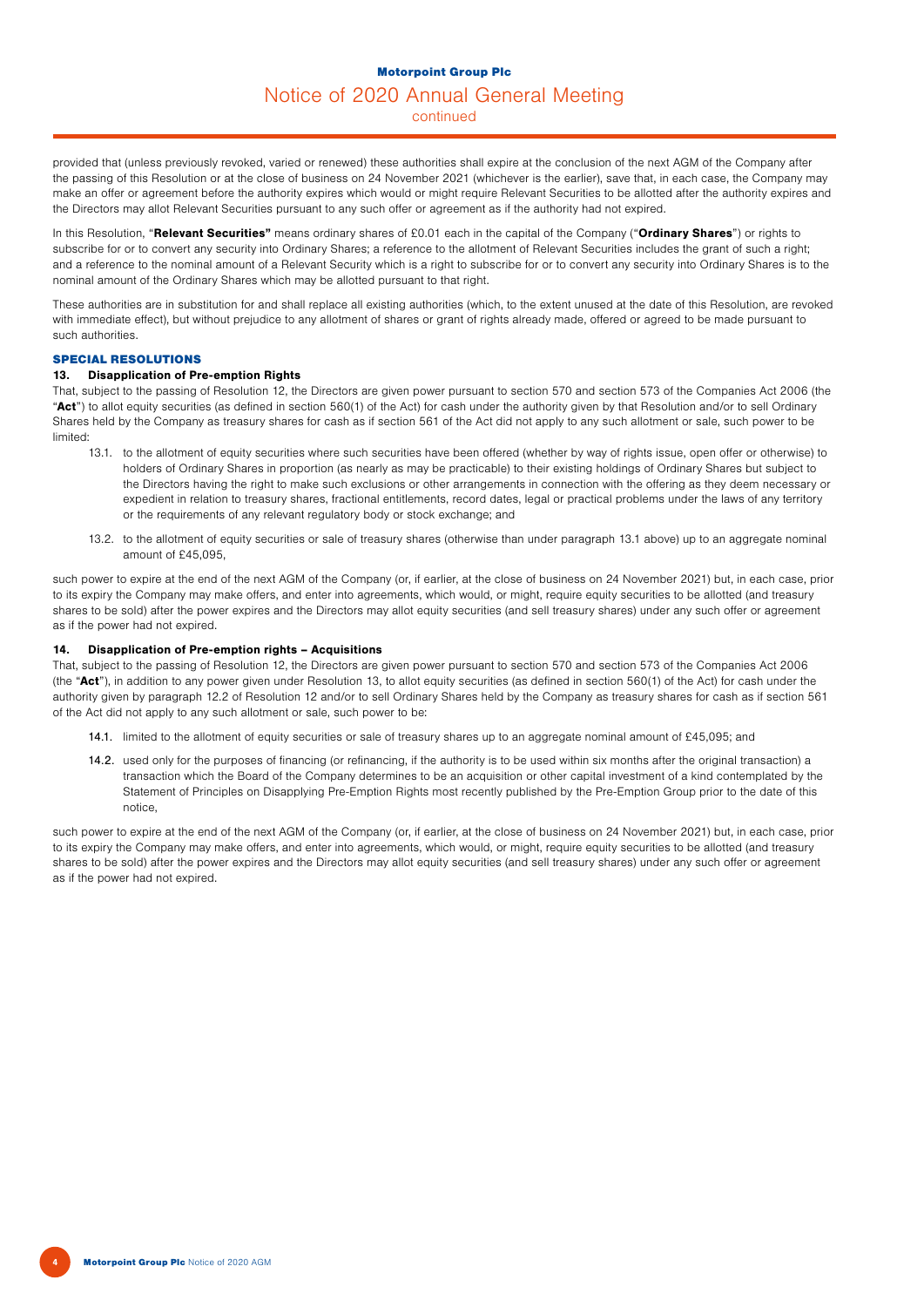## Motorpoint Group Plc Notice of 2020 Annual General Meeting

continued

provided that (unless previously revoked, varied or renewed) these authorities shall expire at the conclusion of the next AGM of the Company after the passing of this Resolution or at the close of business on 24 November 2021 (whichever is the earlier), save that, in each case, the Company may make an offer or agreement before the authority expires which would or might require Relevant Securities to be allotted after the authority expires and the Directors may allot Relevant Securities pursuant to any such offer or agreement as if the authority had not expired.

In this Resolution, "Relevant Securities" means ordinary shares of £0.01 each in the capital of the Company ("Ordinary Shares") or rights to subscribe for or to convert any security into Ordinary Shares; a reference to the allotment of Relevant Securities includes the grant of such a right; and a reference to the nominal amount of a Relevant Security which is a right to subscribe for or to convert any security into Ordinary Shares is to the nominal amount of the Ordinary Shares which may be allotted pursuant to that right.

These authorities are in substitution for and shall replace all existing authorities (which, to the extent unused at the date of this Resolution, are revoked with immediate effect), but without prejudice to any allotment of shares or grant of rights already made, offered or agreed to be made pursuant to such authorities.

## SPECIAL RESOLUTIONS

## 13. Disapplication of Pre-emption Rights

That, subject to the passing of Resolution 12, the Directors are given power pursuant to section 570 and section 573 of the Companies Act 2006 (the "Act") to allot equity securities (as defined in section 560(1) of the Act) for cash under the authority given by that Resolution and/or to sell Ordinary Shares held by the Company as treasury shares for cash as if section 561 of the Act did not apply to any such allotment or sale, such power to be limited:

- 13.1. to the allotment of equity securities where such securities have been offered (whether by way of rights issue, open offer or otherwise) to holders of Ordinary Shares in proportion (as nearly as may be practicable) to their existing holdings of Ordinary Shares but subject to the Directors having the right to make such exclusions or other arrangements in connection with the offering as they deem necessary or expedient in relation to treasury shares, fractional entitlements, record dates, legal or practical problems under the laws of any territory or the requirements of any relevant regulatory body or stock exchange; and
- 13.2. to the allotment of equity securities or sale of treasury shares (otherwise than under paragraph 13.1 above) up to an aggregate nominal amount of £45,095,

such power to expire at the end of the next AGM of the Company (or, if earlier, at the close of business on 24 November 2021) but, in each case, prior to its expiry the Company may make offers, and enter into agreements, which would, or might, require equity securities to be allotted (and treasury shares to be sold) after the power expires and the Directors may allot equity securities (and sell treasury shares) under any such offer or agreement as if the power had not expired.

## 14. Disapplication of Pre-emption rights – Acquisitions

That, subject to the passing of Resolution 12, the Directors are given power pursuant to section 570 and section 573 of the Companies Act 2006 (the "Act"), in addition to any power given under Resolution 13, to allot equity securities (as defined in section  $560(1)$  of the Act) for cash under the authority given by paragraph 12.2 of Resolution 12 and/or to sell Ordinary Shares held by the Company as treasury shares for cash as if section 561 of the Act did not apply to any such allotment or sale, such power to be:

- 14.1. limited to the allotment of equity securities or sale of treasury shares up to an aggregate nominal amount of £45,095; and
- 14.2. used only for the purposes of financing (or refinancing, if the authority is to be used within six months after the original transaction) a transaction which the Board of the Company determines to be an acquisition or other capital investment of a kind contemplated by the Statement of Principles on Disapplying Pre-Emption Rights most recently published by the Pre-Emption Group prior to the date of this notice,

such power to expire at the end of the next AGM of the Company (or, if earlier, at the close of business on 24 November 2021) but, in each case, prior to its expiry the Company may make offers, and enter into agreements, which would, or might, require equity securities to be allotted (and treasury shares to be sold) after the power expires and the Directors may allot equity securities (and sell treasury shares) under any such offer or agreement as if the power had not expired.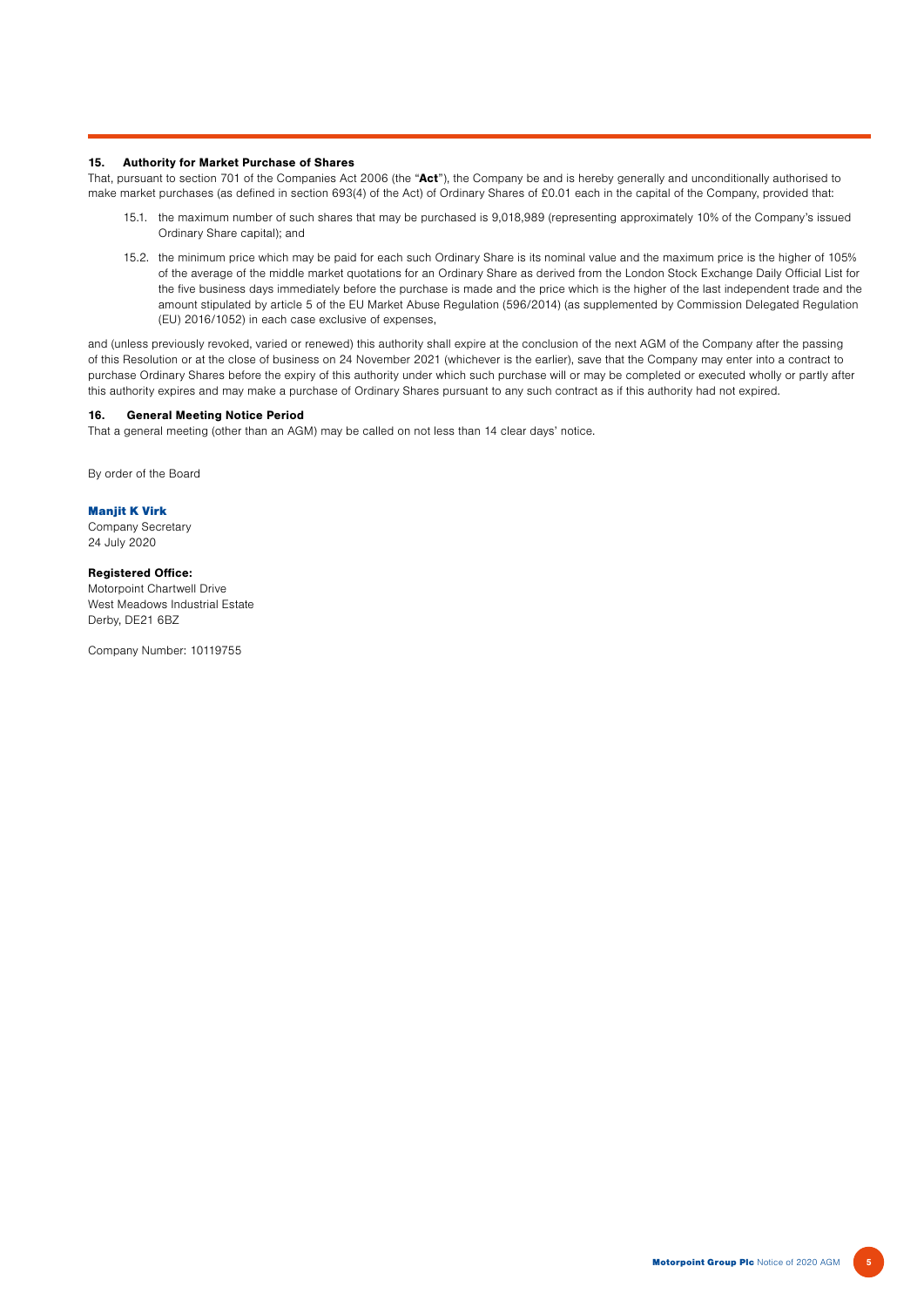## 15. Authority for Market Purchase of Shares

That, pursuant to section 701 of the Companies Act 2006 (the "Act"), the Company be and is hereby generally and unconditionally authorised to make market purchases (as defined in section 693(4) of the Act) of Ordinary Shares of £0.01 each in the capital of the Company, provided that:

- 15.1. the maximum number of such shares that may be purchased is 9,018,989 (representing approximately 10% of the Company's issued Ordinary Share capital); and
- 15.2. the minimum price which may be paid for each such Ordinary Share is its nominal value and the maximum price is the higher of 105% of the average of the middle market quotations for an Ordinary Share as derived from the London Stock Exchange Daily Official List for the five business days immediately before the purchase is made and the price which is the higher of the last independent trade and the amount stipulated by article 5 of the EU Market Abuse Regulation (596/2014) (as supplemented by Commission Delegated Regulation (EU) 2016/1052) in each case exclusive of expenses,

and (unless previously revoked, varied or renewed) this authority shall expire at the conclusion of the next AGM of the Company after the passing of this Resolution or at the close of business on 24 November 2021 (whichever is the earlier), save that the Company may enter into a contract to purchase Ordinary Shares before the expiry of this authority under which such purchase will or may be completed or executed wholly or partly after this authority expires and may make a purchase of Ordinary Shares pursuant to any such contract as if this authority had not expired.

## 16. General Meeting Notice Period

That a general meeting (other than an AGM) may be called on not less than 14 clear days' notice.

By order of the Board

Manjit K Virk Company Secretary 24 July 2020

#### Registered Office:

Motorpoint Chartwell Drive West Meadows Industrial Estate Derby, DE21 6BZ

Company Number: 10119755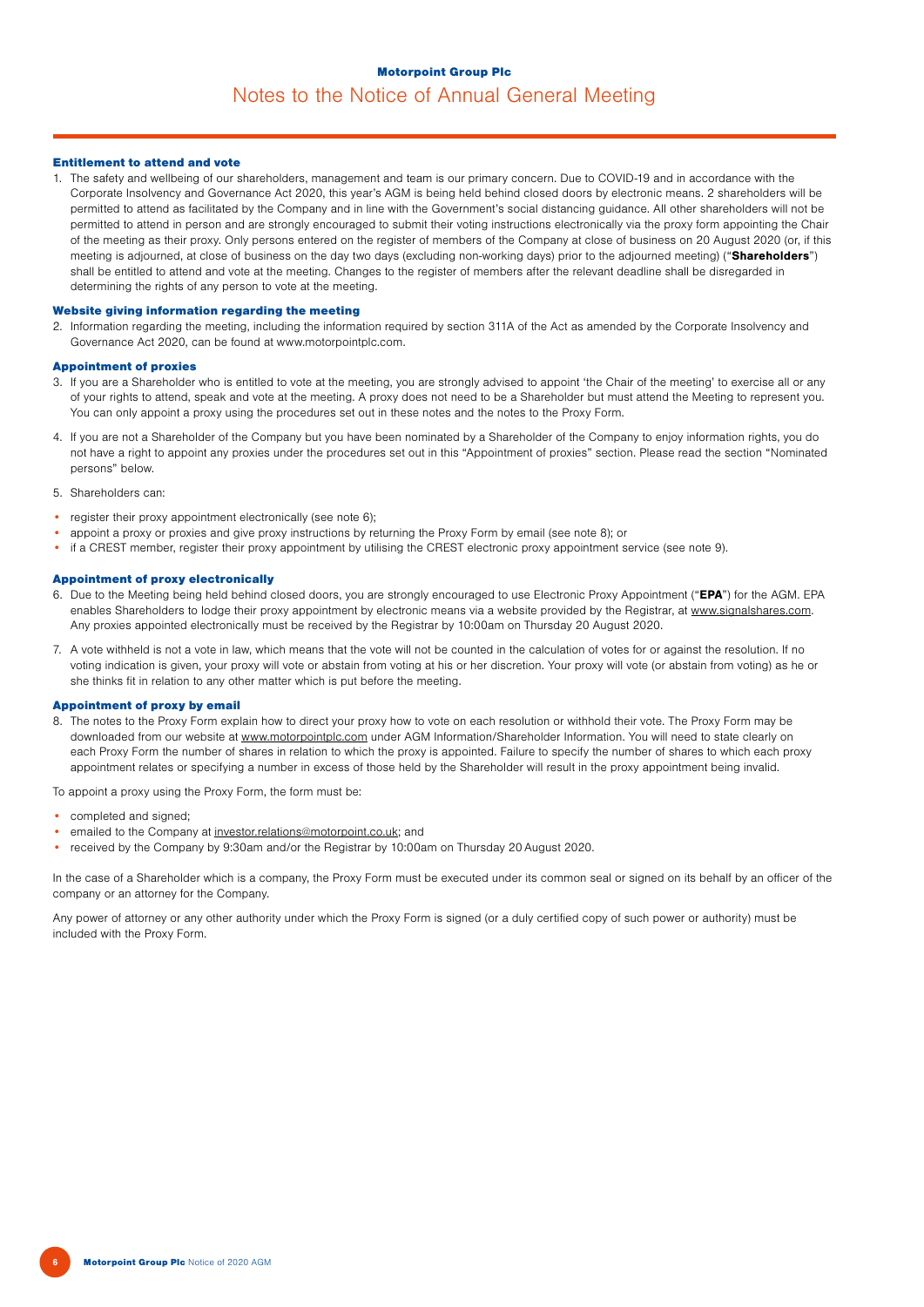## Motorpoint Group Plc Notes to the Notice of Annual General Meeting

## Entitlement to attend and vote

1. The safety and wellbeing of our shareholders, management and team is our primary concern. Due to COVID-19 and in accordance with the Corporate Insolvency and Governance Act 2020, this year's AGM is being held behind closed doors by electronic means. 2 shareholders will be permitted to attend as facilitated by the Company and in line with the Government's social distancing guidance. All other shareholders will not be permitted to attend in person and are strongly encouraged to submit their voting instructions electronically via the proxy form appointing the Chair of the meeting as their proxy. Only persons entered on the register of members of the Company at close of business on 20 August 2020 (or, if this meeting is adjourned, at close of business on the day two days (excluding non-working days) prior to the adjourned meeting) ("Shareholders") shall be entitled to attend and vote at the meeting. Changes to the register of members after the relevant deadline shall be disregarded in determining the rights of any person to vote at the meeting.

#### Website giving information regarding the meeting

2. Information regarding the meeting, including the information required by section 311A of the Act as amended by the Corporate Insolvency and Governance Act 2020, can be found at www.motorpointplc.com.

## Appointment of proxies

- 3. If you are a Shareholder who is entitled to vote at the meeting, you are strongly advised to appoint 'the Chair of the meeting' to exercise all or any of your rights to attend, speak and vote at the meeting. A proxy does not need to be a Shareholder but must attend the Meeting to represent you. You can only appoint a proxy using the procedures set out in these notes and the notes to the Proxy Form.
- 4. If you are not a Shareholder of the Company but you have been nominated by a Shareholder of the Company to enjoy information rights, you do not have a right to appoint any proxies under the procedures set out in this "Appointment of proxies" section. Please read the section "Nominated persons" below.
- 5. Shareholders can:
- register their proxy appointment electronically (see note 6);
- appoint a proxy or proxies and give proxy instructions by returning the Proxy Form by email (see note 8); or
- if a CREST member, register their proxy appointment by utilising the CREST electronic proxy appointment service (see note 9).

#### Appointment of proxy electronically

- 6. Due to the Meeting being held behind closed doors, you are strongly encouraged to use Electronic Proxy Appointment ("EPA") for the AGM. EPA enables Shareholders to lodge their proxy appointment by electronic means via a website provided by the Registrar, at www.signalshares.com. Any proxies appointed electronically must be received by the Registrar by 10:00am on Thursday 20 August 2020.
- 7. A vote withheld is not a vote in law, which means that the vote will not be counted in the calculation of votes for or against the resolution. If no voting indication is given, your proxy will vote or abstain from voting at his or her discretion. Your proxy will vote (or abstain from voting) as he or she thinks fit in relation to any other matter which is put before the meeting.

#### Appointment of proxy by email

8. The notes to the Proxy Form explain how to direct your proxy how to vote on each resolution or withhold their vote. The Proxy Form may be downloaded from our website at www.motorpointplc.com under AGM Information/Shareholder Information. You will need to state clearly on each Proxy Form the number of shares in relation to which the proxy is appointed. Failure to specify the number of shares to which each proxy appointment relates or specifying a number in excess of those held by the Shareholder will result in the proxy appointment being invalid.

To appoint a proxy using the Proxy Form, the form must be:

- completed and signed:
- emailed to the Company at investor.relations@motorpoint.co.uk; and
- received by the Company by 9:30am and/or the Registrar by 10:00am on Thursday 20 August 2020.

In the case of a Shareholder which is a company, the Proxy Form must be executed under its common seal or signed on its behalf by an officer of the company or an attorney for the Company.

Any power of attorney or any other authority under which the Proxy Form is signed (or a duly certified copy of such power or authority) must be included with the Proxy Form.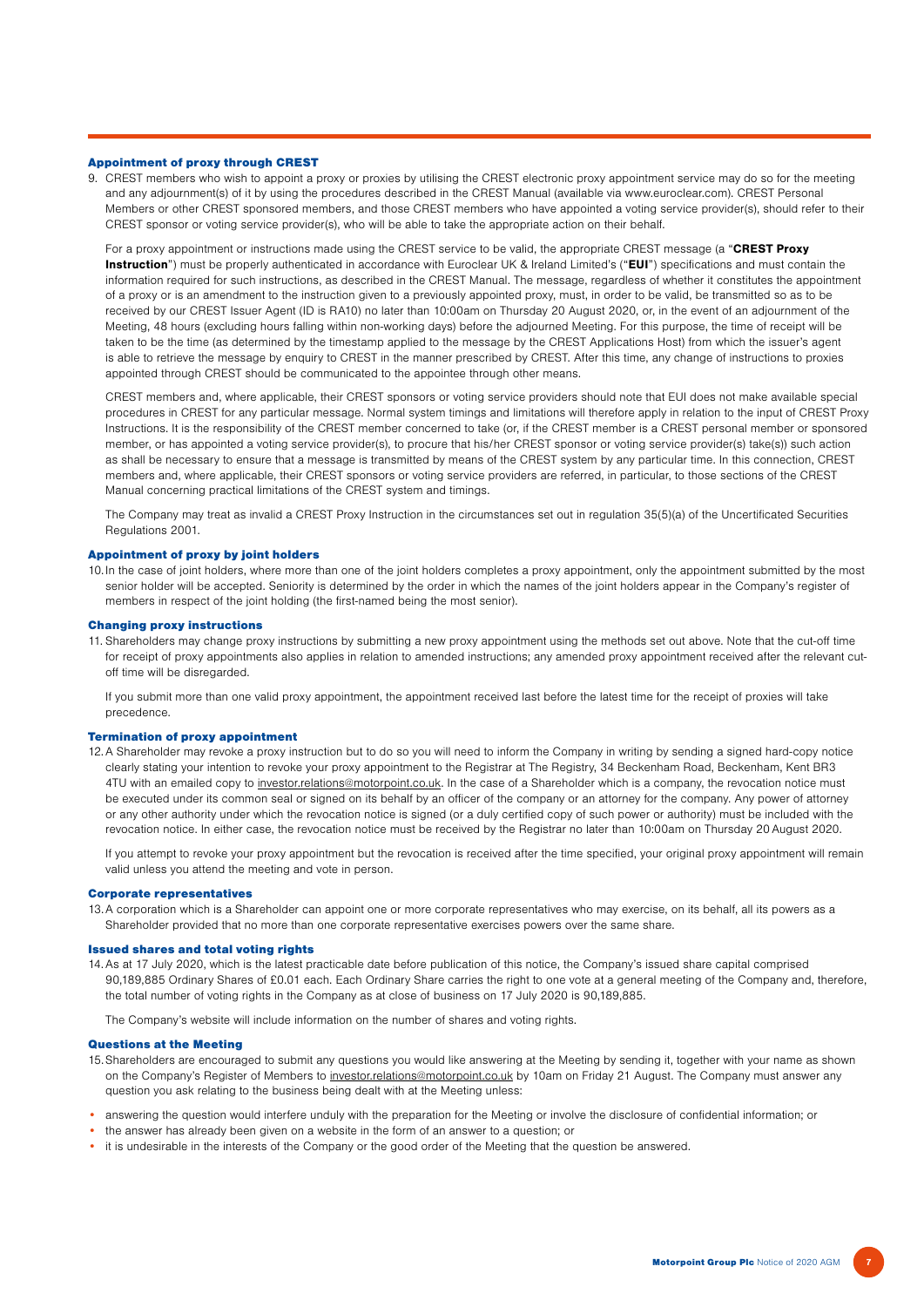## Appointment of proxy through CREST

9. CREST members who wish to appoint a proxy or proxies by utilising the CREST electronic proxy appointment service may do so for the meeting and any adjournment(s) of it by using the procedures described in the CREST Manual (available via www.euroclear.com). CREST Personal Members or other CREST sponsored members, and those CREST members who have appointed a voting service provider(s), should refer to their CREST sponsor or voting service provider(s), who will be able to take the appropriate action on their behalf.

For a proxy appointment or instructions made using the CREST service to be valid, the appropriate CREST message (a "CREST Proxy Instruction") must be properly authenticated in accordance with Euroclear UK & Ireland Limited's ("EUI") specifications and must contain the information required for such instructions, as described in the CREST Manual. The message, regardless of whether it constitutes the appointment of a proxy or is an amendment to the instruction given to a previously appointed proxy, must, in order to be valid, be transmitted so as to be received by our CREST Issuer Agent (ID is RA10) no later than 10:00am on Thursday 20 August 2020, or, in the event of an adjournment of the Meeting, 48 hours (excluding hours falling within non-working days) before the adjourned Meeting. For this purpose, the time of receipt will be taken to be the time (as determined by the timestamp applied to the message by the CREST Applications Host) from which the issuer's agent is able to retrieve the message by enquiry to CREST in the manner prescribed by CREST. After this time, any change of instructions to proxies appointed through CREST should be communicated to the appointee through other means.

CREST members and, where applicable, their CREST sponsors or voting service providers should note that EUI does not make available special procedures in CREST for any particular message. Normal system timings and limitations will therefore apply in relation to the input of CREST Proxy Instructions. It is the responsibility of the CREST member concerned to take (or, if the CREST member is a CREST personal member or sponsored member, or has appointed a voting service provider(s), to procure that his/her CREST sponsor or voting service provider(s) take(s)) such action as shall be necessary to ensure that a message is transmitted by means of the CREST system by any particular time. In this connection, CREST members and, where applicable, their CREST sponsors or voting service providers are referred, in particular, to those sections of the CREST Manual concerning practical limitations of the CREST system and timings.

The Company may treat as invalid a CREST Proxy Instruction in the circumstances set out in regulation 35(5)(a) of the Uncertificated Securities Regulations 2001.

### Appointment of proxy by joint holders

10. In the case of joint holders, where more than one of the joint holders completes a proxy appointment, only the appointment submitted by the most senior holder will be accepted. Seniority is determined by the order in which the names of the joint holders appear in the Company's register of members in respect of the joint holding (the first-named being the most senior).

#### Changing proxy instructions

11. Shareholders may change proxy instructions by submitting a new proxy appointment using the methods set out above. Note that the cut-off time for receipt of proxy appointments also applies in relation to amended instructions; any amended proxy appointment received after the relevant cutoff time will be disregarded.

If you submit more than one valid proxy appointment, the appointment received last before the latest time for the receipt of proxies will take precedence.

## Termination of proxy appointment

12.A Shareholder may revoke a proxy instruction but to do so you will need to inform the Company in writing by sending a signed hard-copy notice clearly stating your intention to revoke your proxy appointment to the Registrar at The Registry, 34 Beckenham Road, Beckenham, Kent BR3 4TU with an emailed copy to investor.relations@motorpoint.co.uk. In the case of a Shareholder which is a company, the revocation notice must be executed under its common seal or signed on its behalf by an officer of the company or an attorney for the company. Any power of attorney or any other authority under which the revocation notice is signed (or a duly certified copy of such power or authority) must be included with the revocation notice. In either case, the revocation notice must be received by the Registrar no later than 10:00am on Thursday 20 August 2020.

If you attempt to revoke your proxy appointment but the revocation is received after the time specified, your original proxy appointment will remain valid unless you attend the meeting and vote in person.

#### Corporate representatives

13.A corporation which is a Shareholder can appoint one or more corporate representatives who may exercise, on its behalf, all its powers as a Shareholder provided that no more than one corporate representative exercises powers over the same share.

#### Issued shares and total voting rights

14.As at 17 July 2020, which is the latest practicable date before publication of this notice, the Company's issued share capital comprised 90,189,885 Ordinary Shares of £0.01 each. Each Ordinary Share carries the right to one vote at a general meeting of the Company and, therefore, the total number of voting rights in the Company as at close of business on 17 July 2020 is 90,189,885.

The Company's website will include information on the number of shares and voting rights.

## Questions at the Meeting

- 15.Shareholders are encouraged to submit any questions you would like answering at the Meeting by sending it, together with your name as shown on the Company's Register of Members to investor.relations@motorpoint.co.uk by 10am on Friday 21 August. The Company must answer any question you ask relating to the business being dealt with at the Meeting unless:
- answering the question would interfere unduly with the preparation for the Meeting or involve the disclosure of confidential information; or
- the answer has already been given on a website in the form of an answer to a question; or
- it is undesirable in the interests of the Company or the good order of the Meeting that the question be answered.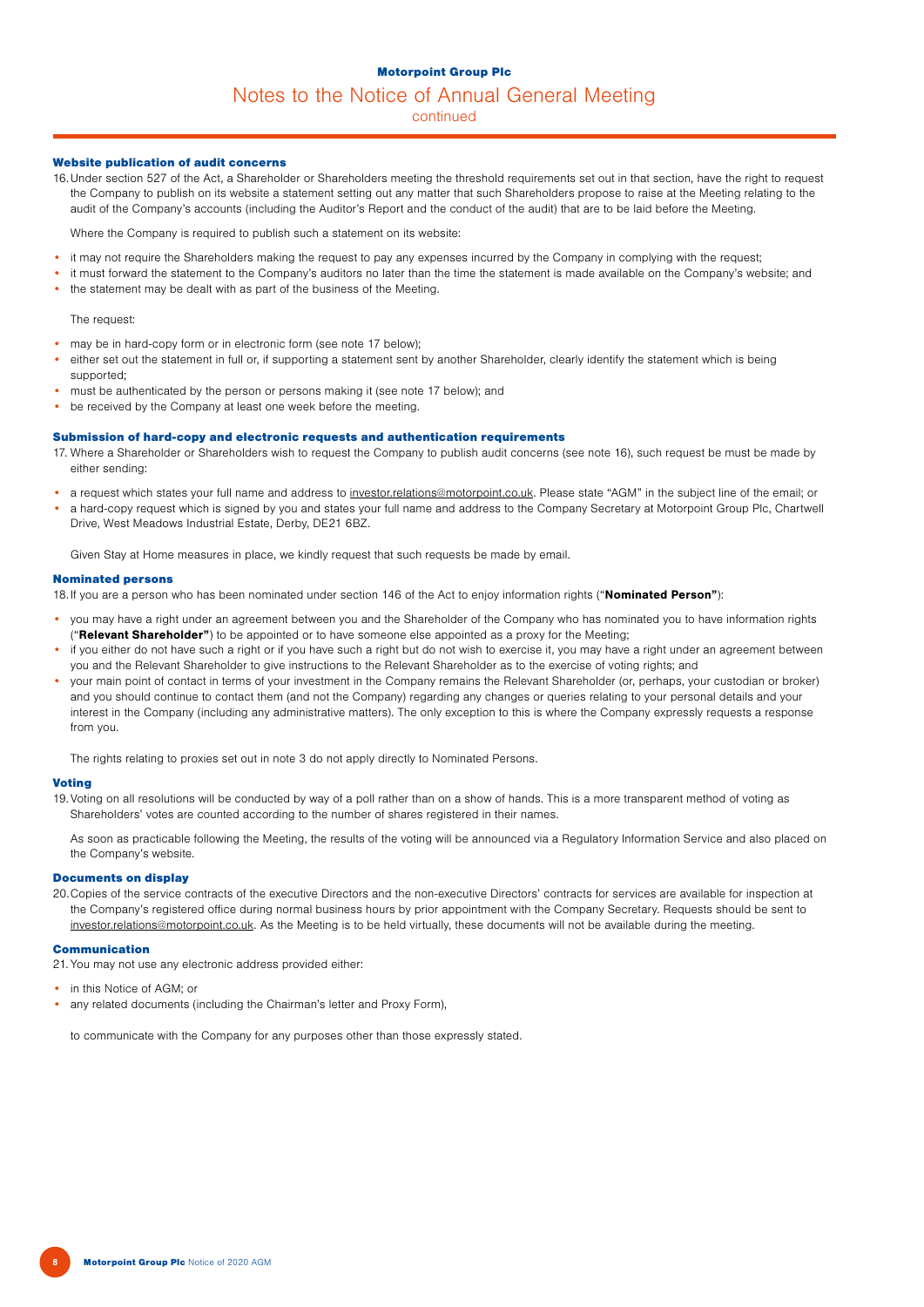## Motorpoint Group Plc

## Notes to the Notice of Annual General Meeting

continued

## Website publication of audit concerns

16.Under section 527 of the Act, a Shareholder or Shareholders meeting the threshold requirements set out in that section, have the right to request the Company to publish on its website a statement setting out any matter that such Shareholders propose to raise at the Meeting relating to the audit of the Company's accounts (including the Auditor's Report and the conduct of the audit) that are to be laid before the Meeting.

Where the Company is required to publish such a statement on its website:

- it may not require the Shareholders making the request to pay any expenses incurred by the Company in complying with the request;
- it must forward the statement to the Company's auditors no later than the time the statement is made available on the Company's website; and
- the statement may be dealt with as part of the business of the Meeting.

#### The request:

- may be in hard-copy form or in electronic form (see note 17 below);
- either set out the statement in full or, if supporting a statement sent by another Shareholder, clearly identify the statement which is being supported;
- must be authenticated by the person or persons making it (see note 17 below); and
- be received by the Company at least one week before the meeting.

#### Submission of hard-copy and electronic requests and authentication requirements

- 17. Where a Shareholder or Shareholders wish to request the Company to publish audit concerns (see note 16), such request be must be made by either sending:
- a request which states your full name and address to investor.relations@motorpoint.co.uk. Please state "AGM" in the subject line of the email; or
- a hard-copy request which is signed by you and states your full name and address to the Company Secretary at Motorpoint Group Plc, Chartwell Drive, West Meadows Industrial Estate, Derby, DE21 6BZ.

Given Stay at Home measures in place, we kindly request that such requests be made by email.

#### Nominated persons

18.If you are a person who has been nominated under section 146 of the Act to enjoy information rights ("Nominated Person"):

- you may have a right under an agreement between you and the Shareholder of the Company who has nominated you to have information rights ("Relevant Shareholder") to be appointed or to have someone else appointed as a proxy for the Meeting;
- if you either do not have such a right or if you have such a right but do not wish to exercise it, you may have a right under an agreement between you and the Relevant Shareholder to give instructions to the Relevant Shareholder as to the exercise of voting rights; and
- your main point of contact in terms of your investment in the Company remains the Relevant Shareholder (or, perhaps, your custodian or broker) and you should continue to contact them (and not the Company) regarding any changes or queries relating to your personal details and your interest in the Company (including any administrative matters). The only exception to this is where the Company expressly requests a response from you.

The rights relating to proxies set out in note 3 do not apply directly to Nominated Persons.

#### **Voting**

19.Voting on all resolutions will be conducted by way of a poll rather than on a show of hands. This is a more transparent method of voting as Shareholders' votes are counted according to the number of shares registered in their names.

As soon as practicable following the Meeting, the results of the voting will be announced via a Regulatory Information Service and also placed on the Company's website.

#### Documents on display

20.Copies of the service contracts of the executive Directors and the non-executive Directors' contracts for services are available for inspection at the Company's registered office during normal business hours by prior appointment with the Company Secretary. Requests should be sent to investor.relations@motorpoint.co.uk. As the Meeting is to be held virtually, these documents will not be available during the meeting.

## Communication

21. You may not use any electronic address provided either:

- in this Notice of AGM; or
- any related documents (including the Chairman's letter and Proxy Form),

to communicate with the Company for any purposes other than those expressly stated.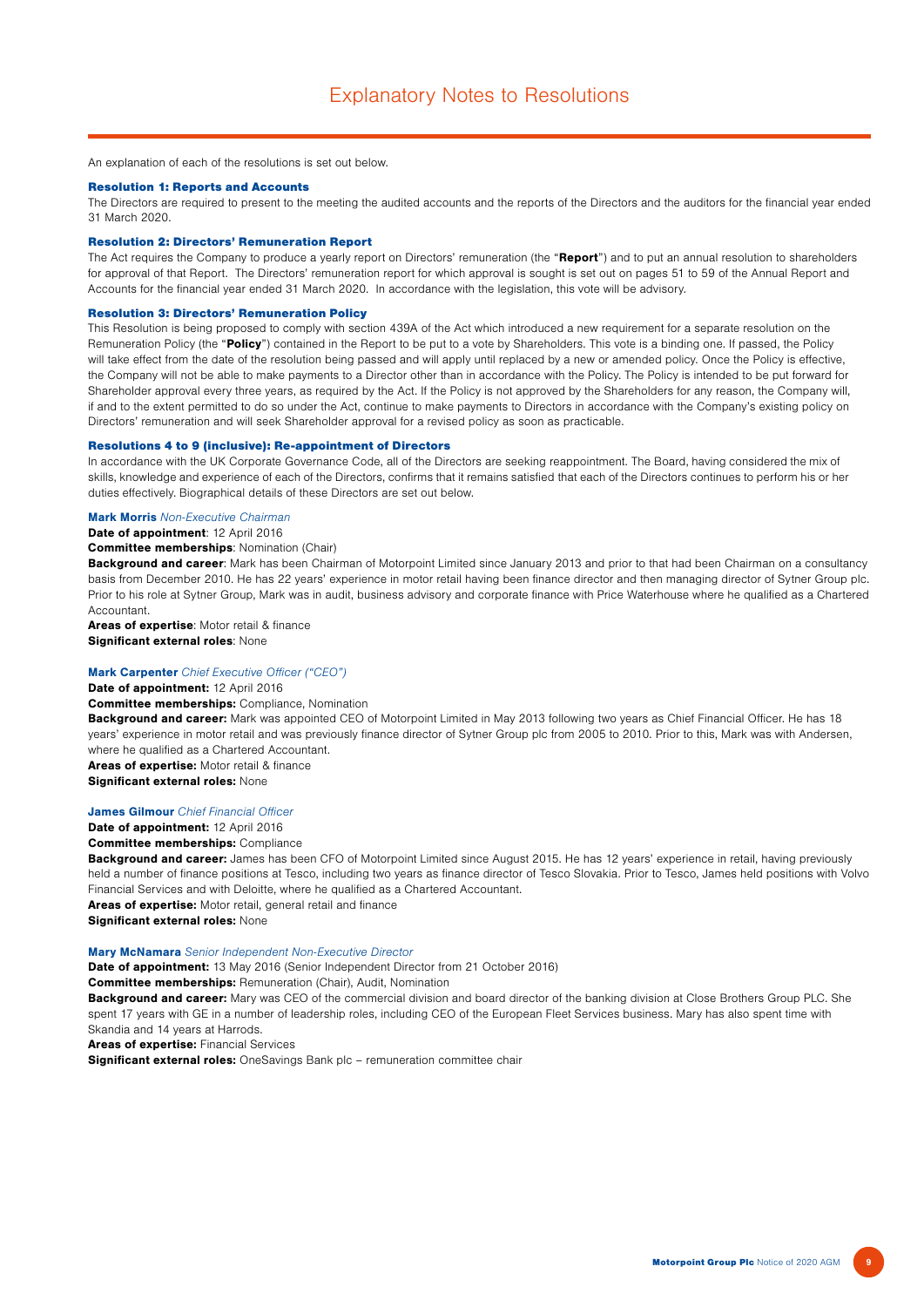An explanation of each of the resolutions is set out below.

#### Resolution 1: Reports and Accounts

The Directors are required to present to the meeting the audited accounts and the reports of the Directors and the auditors for the financial year ended 31 March 2020.

#### Resolution 2: Directors' Remuneration Report

The Act requires the Company to produce a yearly report on Directors' remuneration (the "Report") and to put an annual resolution to shareholders for approval of that Report. The Directors' remuneration report for which approval is sought is set out on pages 51 to 59 of the Annual Report and Accounts for the financial year ended 31 March 2020. In accordance with the legislation, this vote will be advisory.

#### Resolution 3: Directors' Remuneration Policy

This Resolution is being proposed to comply with section 439A of the Act which introduced a new requirement for a separate resolution on the Remuneration Policy (the "Policy") contained in the Report to be put to a vote by Shareholders. This vote is a binding one. If passed, the Policy will take effect from the date of the resolution being passed and will apply until replaced by a new or amended policy. Once the Policy is effective, the Company will not be able to make payments to a Director other than in accordance with the Policy. The Policy is intended to be put forward for Shareholder approval every three years, as required by the Act. If the Policy is not approved by the Shareholders for any reason, the Company will, if and to the extent permitted to do so under the Act, continue to make payments to Directors in accordance with the Company's existing policy on Directors' remuneration and will seek Shareholder approval for a revised policy as soon as practicable.

#### Resolutions 4 to 9 (inclusive): Re-appointment of Directors

In accordance with the UK Corporate Governance Code, all of the Directors are seeking reappointment. The Board, having considered the mix of skills, knowledge and experience of each of the Directors, confirms that it remains satisfied that each of the Directors continues to perform his or her duties effectively. Biographical details of these Directors are set out below.

## **Mark Morris** Non-Executive Chairman

Date of appointment: 12 April 2016

#### Committee memberships: Nomination (Chair)

Background and career: Mark has been Chairman of Motorpoint Limited since January 2013 and prior to that had been Chairman on a consultancy basis from December 2010. He has 22 years' experience in motor retail having been finance director and then managing director of Sytner Group plc. Prior to his role at Sytner Group, Mark was in audit, business advisory and corporate finance with Price Waterhouse where he qualified as a Chartered **Accountant** 

Areas of expertise: Motor retail & finance Significant external roles: None

## Mark Carpenter Chief Executive Officer ("CEO")

Date of appointment: 12 April 2016

## Committee memberships: Compliance, Nomination

Background and career: Mark was appointed CEO of Motorpoint Limited in May 2013 following two years as Chief Financial Officer. He has 18 years' experience in motor retail and was previously finance director of Sytner Group plc from 2005 to 2010. Prior to this, Mark was with Andersen, where he qualified as a Chartered Accountant.

Areas of expertise: Motor retail & finance Significant external roles: None

#### James Gilmour Chief Financial Officer

Date of appointment: 12 April 2016

### Committee memberships: Compliance

Background and career: James has been CFO of Motorpoint Limited since August 2015. He has 12 years' experience in retail, having previously held a number of finance positions at Tesco, including two years as finance director of Tesco Slovakia. Prior to Tesco, James held positions with Volvo Financial Services and with Deloitte, where he qualified as a Chartered Accountant. Areas of expertise: Motor retail, general retail and finance

Significant external roles: None

#### Mary McNamara Senior Independent Non-Executive Director

Date of appointment: 13 May 2016 (Senior Independent Director from 21 October 2016)

Committee memberships: Remuneration (Chair), Audit, Nomination

**Background and career:** Mary was CEO of the commercial division and board director of the banking division at Close Brothers Group PLC. She spent 17 years with GE in a number of leadership roles, including CEO of the European Fleet Services business. Mary has also spent time with Skandia and 14 years at Harrods.

Areas of expertise: Financial Services

Significant external roles: OneSavings Bank plc - remuneration committee chair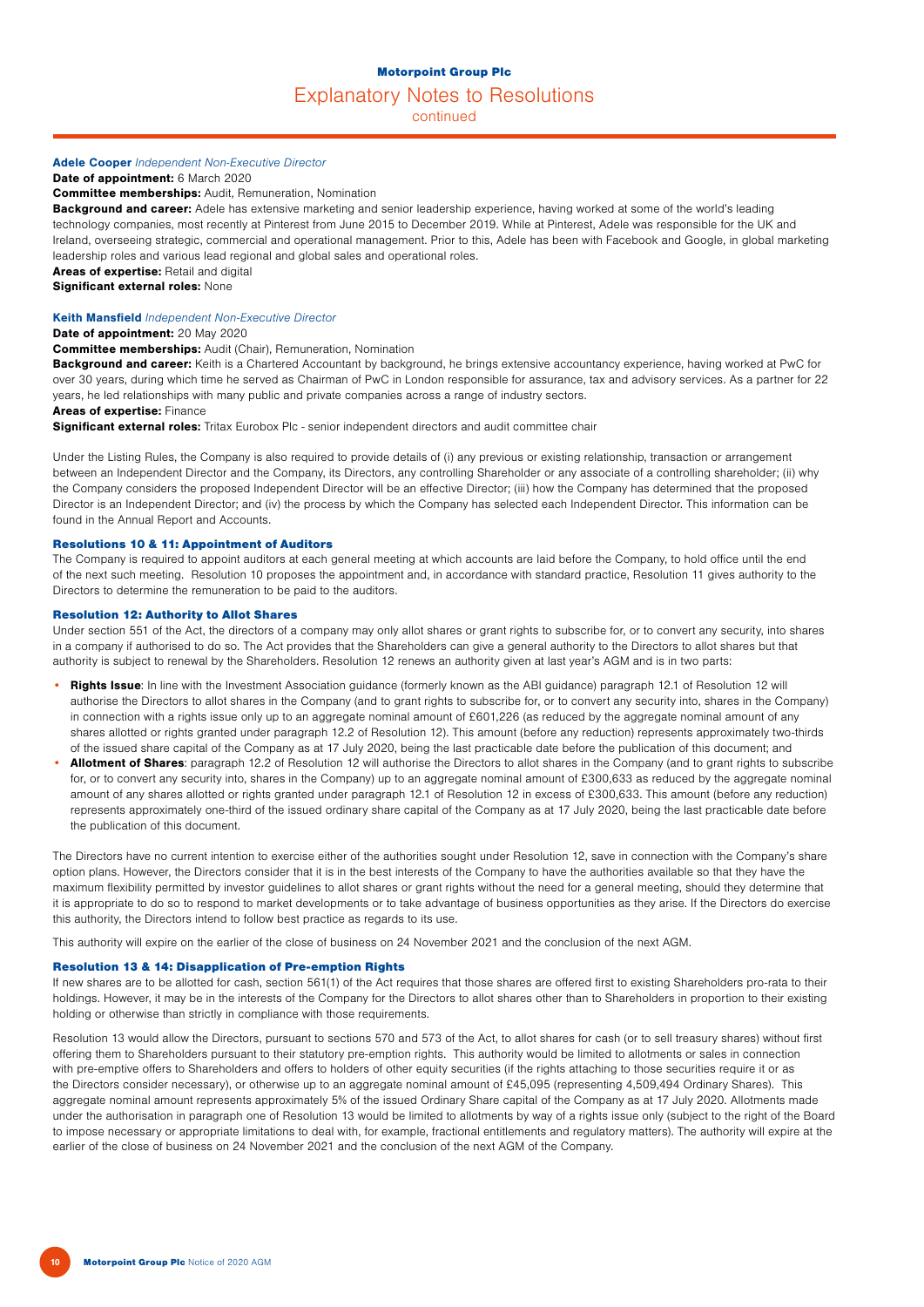### Motorpoint Group Plc

## Explanatory Notes to Resolutions

continued

## Adele Cooper Independent Non-Executive Director

Date of appointment: 6 March 2020

Committee memberships: Audit, Remuneration, Nomination

Background and career: Adele has extensive marketing and senior leadership experience, having worked at some of the world's leading technology companies, most recently at Pinterest from June 2015 to December 2019. While at Pinterest, Adele was responsible for the UK and Ireland, overseeing strategic, commercial and operational management. Prior to this, Adele has been with Facebook and Google, in global marketing leadership roles and various lead regional and global sales and operational roles.

Areas of expertise: Retail and digital

Significant external roles: None

## Keith Mansfield Independent Non-Executive Director

Date of appointment: 20 May 2020

#### Committee memberships: Audit (Chair), Remuneration, Nomination

Background and career: Keith is a Chartered Accountant by background, he brings extensive accountancy experience, having worked at PwC for over 30 years, during which time he served as Chairman of PwC in London responsible for assurance, tax and advisory services. As a partner for 22 years, he led relationships with many public and private companies across a range of industry sectors.

## Areas of expertise: Finance

Significant external roles: Tritax Eurobox Plc - senior independent directors and audit committee chair

Under the Listing Rules, the Company is also required to provide details of (i) any previous or existing relationship, transaction or arrangement between an Independent Director and the Company, its Directors, any controlling Shareholder or any associate of a controlling shareholder; (ii) why the Company considers the proposed Independent Director will be an effective Director; (iii) how the Company has determined that the proposed Director is an Independent Director; and (iv) the process by which the Company has selected each Independent Director. This information can be found in the Annual Report and Accounts.

## Resolutions 10 & 11: Appointment of Auditors

The Company is required to appoint auditors at each general meeting at which accounts are laid before the Company, to hold office until the end of the next such meeting. Resolution 10 proposes the appointment and, in accordance with standard practice, Resolution 11 gives authority to the Directors to determine the remuneration to be paid to the auditors.

#### Resolution 12: Authority to Allot Shares

Under section 551 of the Act, the directors of a company may only allot shares or grant rights to subscribe for, or to convert any security, into shares in a company if authorised to do so. The Act provides that the Shareholders can give a general authority to the Directors to allot shares but that authority is subject to renewal by the Shareholders. Resolution 12 renews an authority given at last year's AGM and is in two parts:

- Rights Issue: In line with the Investment Association guidance (formerly known as the ABI guidance) paragraph 12.1 of Resolution 12 will authorise the Directors to allot shares in the Company (and to grant rights to subscribe for, or to convert any security into, shares in the Company) in connection with a rights issue only up to an aggregate nominal amount of £601,226 (as reduced by the aggregate nominal amount of any shares allotted or rights granted under paragraph 12.2 of Resolution 12). This amount (before any reduction) represents approximately two-thirds of the issued share capital of the Company as at 17 July 2020, being the last practicable date before the publication of this document; and
- Allotment of Shares: paragraph 12.2 of Resolution 12 will authorise the Directors to allot shares in the Company (and to grant rights to subscribe for, or to convert any security into, shares in the Company) up to an aggregate nominal amount of £300,633 as reduced by the aggregate nominal amount of any shares allotted or rights granted under paragraph 12.1 of Resolution 12 in excess of £300,633. This amount (before any reduction) represents approximately one-third of the issued ordinary share capital of the Company as at 17 July 2020, being the last practicable date before the publication of this document.

The Directors have no current intention to exercise either of the authorities sought under Resolution 12, save in connection with the Company's share option plans. However, the Directors consider that it is in the best interests of the Company to have the authorities available so that they have the maximum flexibility permitted by investor guidelines to allot shares or grant rights without the need for a general meeting, should they determine that it is appropriate to do so to respond to market developments or to take advantage of business opportunities as they arise. If the Directors do exercise this authority, the Directors intend to follow best practice as regards to its use.

This authority will expire on the earlier of the close of business on 24 November 2021 and the conclusion of the next AGM.

#### Resolution 13 & 14: Disapplication of Pre-emption Rights

If new shares are to be allotted for cash, section 561(1) of the Act requires that those shares are offered first to existing Shareholders pro-rata to their holdings. However, it may be in the interests of the Company for the Directors to allot shares other than to Shareholders in proportion to their existing holding or otherwise than strictly in compliance with those requirements.

Resolution 13 would allow the Directors, pursuant to sections 570 and 573 of the Act, to allot shares for cash (or to sell treasury shares) without first offering them to Shareholders pursuant to their statutory pre-emption rights. This authority would be limited to allotments or sales in connection with pre-emptive offers to Shareholders and offers to holders of other equity securities (if the rights attaching to those securities require it or as the Directors consider necessary), or otherwise up to an aggregate nominal amount of £45,095 (representing 4,509,494 Ordinary Shares). This aggregate nominal amount represents approximately 5% of the issued Ordinary Share capital of the Company as at 17 July 2020. Allotments made under the authorisation in paragraph one of Resolution 13 would be limited to allotments by way of a rights issue only (subject to the right of the Board to impose necessary or appropriate limitations to deal with, for example, fractional entitlements and regulatory matters). The authority will expire at the earlier of the close of business on 24 November 2021 and the conclusion of the next AGM of the Company.